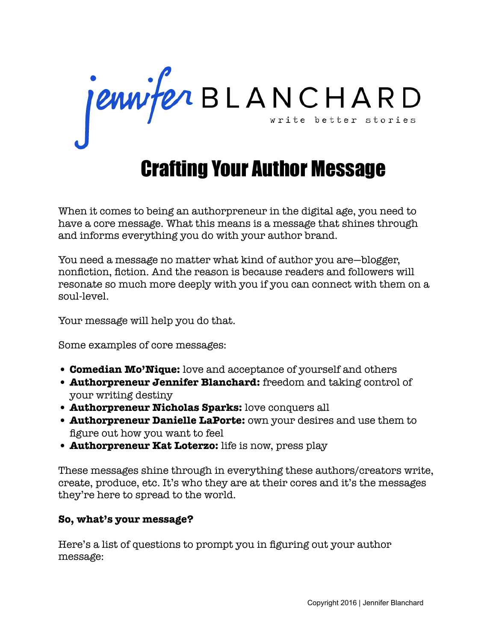jennifer BLANCHARD

## Crafting Your Author Message

When it comes to being an authorpreneur in the digital age, you need to have a core message. What this means is a message that shines through and informs everything you do with your author brand.

You need a message no matter what kind of author you are—blogger, nonfiction, fiction. And the reason is because readers and followers will resonate so much more deeply with you if you can connect with them on a soul-level.

Your message will help you do that.

Some examples of core messages:

- **Comedian Mo'Nique:** love and acceptance of yourself and others
- **Authorpreneur Jennifer Blanchard:** freedom and taking control of your writing destiny
- **Authorpreneur Nicholas Sparks:** love conquers all
- **Authorpreneur Danielle LaPorte:** own your desires and use them to figure out how you want to feel
- **Authorpreneur Kat Loterzo:** life is now, press play

These messages shine through in everything these authors/creators write, create, produce, etc. It's who they are at their cores and it's the messages they're here to spread to the world.

## **So, what's your message?**

Here's a list of questions to prompt you in figuring out your author message: